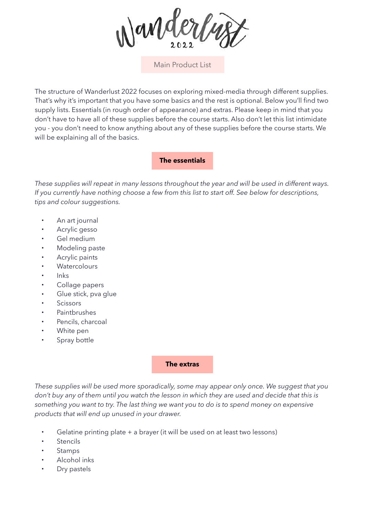

Main Product List

The structure of Wanderlust 2022 focuses on exploring mixed-media through different supplies. That's why it's important that you have some basics and the rest is optional. Below you'll find two supply lists. Essentials (in rough order of appearance) and extras. Please keep in mind that you don't have to have all of these supplies before the course starts. Also don't let this list intimidate you - you don't need to know anything about any of these supplies before the course starts. We will be explaining all of the basics.

## **The essentials**

*These supplies will repeat in many lessons throughout the year and will be used in different ways. If you currently have nothing choose a few from this list to start off. See below for descriptions, tips and colour suggestions.*

- An art journal
- Acrylic gesso
- Gel medium
- Modeling paste
- Acrylic paints
- Watercolours
- Inks
- Collage papers
- Glue stick, pva glue
- **Scissors**
- Paintbrushes
- Pencils, charcoal
- White pen
- Spray bottle

## **The extras**

*These supplies will be used more sporadically, some may appear only once. We suggest that you don't buy any of them until you watch the lesson in which they are used and decide that this is something you want to try. The last thing we want you to do is to spend money on expensive products that will end up unused in your drawer.*

- Gelatine printing plate + a brayer (it will be used on at least two lessons)
- **Stencils**
- **Stamps**
- Alcohol inks
- Dry pastels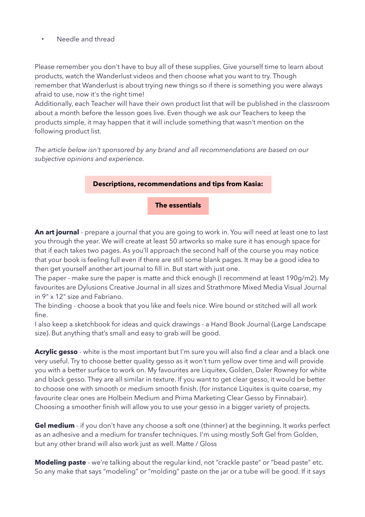• Needle and thread

Please remember you don't have to buy all of these supplies. Give yourself time to learn about products, watch the Wanderlust videos and then choose what you want to try. Though remember that Wanderlust is about trying new things so if there is something you were always afraid to use, now it's the right time!

Additionally, each Teacher will have their own product list that will be published in the classroom about a month before the lesson goes live. Even though we ask our Teachers to keep the products simple, it may happen that it will include something that wasn't mention on the following product list.

*The article below isn't sponsored by any brand and all recommendations are based on our subjective opinions and experience.*



**An art journal** - prepare a journal that you are going to work in. You will need at least one to last you through the year. We will create at least 50 artworks so make sure it has enough space for that if each takes two pages. As you'll approach the second half of the course you may notice that your book is feeling full even if there are still some blank pages. It may be a good idea to then get yourself another art journal to fill in. But start with just one.

The paper - make sure the paper is matte and thick enough (I recommend at least 190g/m2). My favourites are Dylusions Creative Journal in all sizes and Strathmore Mixed Media Visual Journal in 9" x 12" size and Fabriano.

The binding - choose a book that you like and feels nice. Wire bound or stitched will all work fine.

I also keep a sketchbook for ideas and quick drawings - a Hand Book Journal (Large Landscape size). But anything that's small and easy to grab will be good.

**Acrylic gesso** - white is the most important but I'm sure you will also find a clear and a black one very useful. Try to choose better quality gesso as it won't turn yellow over time and will provide you with a better surface to work on. My favourites are Liquitex, Golden, Daler Rowney for white and black gesso. They are all similar in texture. If you want to get clear gesso, it would be better to choose one with smooth or medium smooth finish. (for instance Liquitex is quite coarse, my favourite clear ones are Holbein Medium and Prima Marketing Clear Gesso by Finnabair). Choosing a smoother finish will allow you to use your gesso in a bigger variety of projects.

**Gel medium** - if you don't have any choose a soft one (thinner) at the beginning. It works perfect as an adhesive and a medium for transfer techniques. I'm using mostly Soft Gel from Golden, but any other brand will also work just as well. Matte / Gloss

**Modeling paste** - we're talking about the regular kind, not "crackle paste" or "bead paste" etc. So any make that says "modeling" or "molding" paste on the jar or a tube will be good. If it says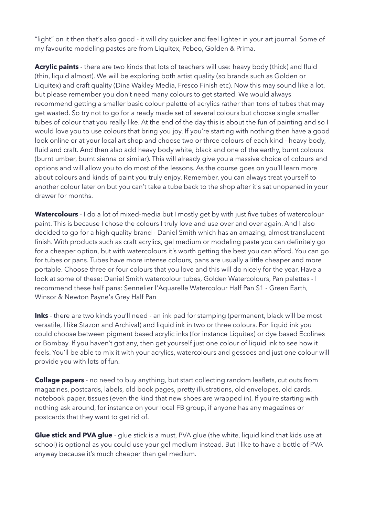"light" on it then that's also good - it will dry quicker and feel lighter in your art journal. Some of my favourite modeling pastes are from Liquitex, Pebeo, Golden & Prima.

**Acrylic paints** - there are two kinds that lots of teachers will use: heavy body (thick) and fluid (thin, liquid almost). We will be exploring both artist quality (so brands such as Golden or Liquitex) and craft quality (Dina Wakley Media, Fresco Finish etc). Now this may sound like a lot, but please remember you don't need many colours to get started. We would always recommend getting a smaller basic colour palette of acrylics rather than tons of tubes that may get wasted. So try not to go for a ready made set of several colours but choose single smaller tubes of colour that you really like. At the end of the day this is about the fun of painting and so I would love you to use colours that bring you joy. If you're starting with nothing then have a good look online or at your local art shop and choose two or three colours of each kind - heavy body, fluid and craft. And then also add heavy body white, black and one of the earthy, burnt colours (burnt umber, burnt sienna or similar). This will already give you a massive choice of colours and options and will allow you to do most of the lessons. As the course goes on you'll learn more about colours and kinds of paint you truly enjoy. Remember, you can always treat yourself to another colour later on but you can't take a tube back to the shop after it's sat unopened in your drawer for months.

Watercolours - I do a lot of mixed-media but I mostly get by with just five tubes of watercolour paint. This is because I chose the colours I truly love and use over and over again. And I also decided to go for a high quality brand - Daniel Smith which has an amazing, almost translucent finish. With products such as craft acrylics, gel medium or modeling paste you can definitely go for a cheaper option, but with watercolours it's worth getting the best you can afford. You can go for tubes or pans. Tubes have more intense colours, pans are usually a little cheaper and more portable. Choose three or four colours that you love and this will do nicely for the year. Have a look at some of these: Daniel Smith watercolour tubes, Golden Watercolours, Pan palettes - I recommend these half pans: Sennelier l'Aquarelle Watercolour Half Pan S1 - Green Earth, Winsor & Newton Payne's Grey Half Pan

Inks - there are two kinds you'll need - an ink pad for stamping (permanent, black will be most versatile, I like Stazon and Archival) and liquid ink in two or three colours. For liquid ink you could choose between pigment based acrylic inks (for instance Liquitex) or dye based Ecolines or Bombay. If you haven't got any, then get yourself just one colour of liquid ink to see how it feels. You'll be able to mix it with your acrylics, watercolours and gessoes and just one colour will provide you with lots of fun.

**Collage papers** - no need to buy anything, but start collecting random leaflets, cut outs from magazines, postcards, labels, old book pages, pretty illustrations, old envelopes, old cards. notebook paper, tissues (even the kind that new shoes are wrapped in). If you're starting with nothing ask around, for instance on your local FB group, if anyone has any magazines or postcards that they want to get rid of.

**Glue stick and PVA glue** - glue stick is a must, PVA glue (the white, liquid kind that kids use at school) is optional as you could use your gel medium instead. But I like to have a bottle of PVA anyway because it's much cheaper than gel medium.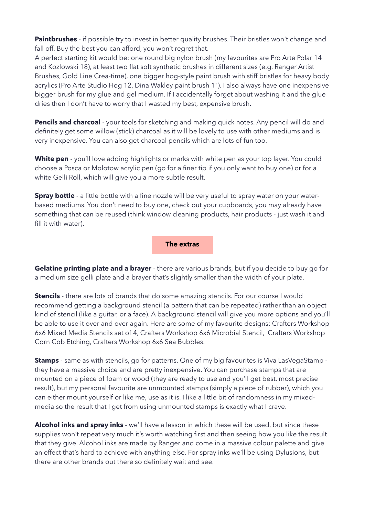**Paintbrushes** - if possible try to invest in better quality brushes. Their bristles won't change and fall off. Buy the best you can afford, you won't regret that.

A perfect starting kit would be: one round big nylon brush (my favourites are Pro Arte Polar 14 and Kozlowski 18), at least two flat soft synthetic brushes in different sizes (e.g. Ranger Artist Brushes, Gold Line Crea-time), one bigger hog-style paint brush with stiff bristles for heavy body acrylics (Pro Arte Studio Hog 12, Dina Wakley paint brush 1"). I also always have one inexpensive bigger brush for my glue and gel medium. If I accidentally forget about washing it and the glue dries then I don't have to worry that I wasted my best, expensive brush.

**Pencils and charcoal** - your tools for sketching and making quick notes. Any pencil will do and definitely get some willow (stick) charcoal as it will be lovely to use with other mediums and is very inexpensive. You can also get charcoal pencils which are lots of fun too.

**White pen** - you'll love adding highlights or marks with white pen as your top layer. You could choose a Posca or Molotow acrylic pen (go for a finer tip if you only want to buy one) or for a white Gelli Roll, which will give you a more subtle result.

**Spray bottle** - a little bottle with a fine nozzle will be very useful to spray water on your waterbased mediums. You don't need to buy one, check out your cupboards, you may already have something that can be reused (think window cleaning products, hair products - just wash it and fill it with water).

## **The extras**

**Gelatine printing plate and a brayer** - there are various brands, but if you decide to buy go for a medium size gelli plate and a brayer that's slightly smaller than the width of your plate.

**Stencils** - there are lots of brands that do some amazing stencils. For our course I would recommend getting a background stencil (a pattern that can be repeated) rather than an object kind of stencil (like a guitar, or a face). A background stencil will give you more options and you'll be able to use it over and over again. Here are some of my favourite designs: Crafters Workshop 6x6 Mixed Media Stencils set of 4, Crafters Workshop 6x6 Microbial Stencil, Crafters Workshop Corn Cob Etching, Crafters Workshop 6x6 Sea Bubbles.

**Stamps** - same as with stencils, go for patterns. One of my big favourites is Viva LasVegaStamp they have a massive choice and are pretty inexpensive. You can purchase stamps that are mounted on a piece of foam or wood (they are ready to use and you'll get best, most precise result), but my personal favourite are unmounted stamps (simply a piece of rubber), which you can either mount yourself or like me, use as it is. I like a little bit of randomness in my mixedmedia so the result that I get from using unmounted stamps is exactly what I crave.

**Alcohol inks and spray inks** - we'll have a lesson in which these will be used, but since these supplies won't repeat very much it's worth watching first and then seeing how you like the result that they give. Alcohol inks are made by Ranger and come in a massive colour palette and give an effect that's hard to achieve with anything else. For spray inks we'll be using Dylusions, but there are other brands out there so definitely wait and see.